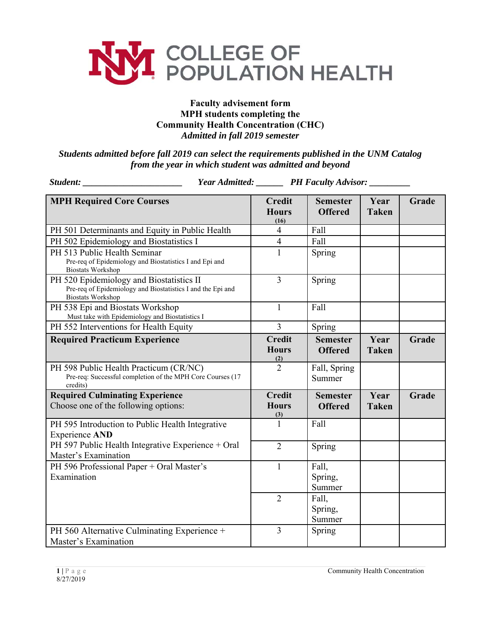

## **Faculty advisement form MPH students completing the Community Health Concentration (CHC)** *Admitted in fall 2019 semester*

*Students admitted before fall 2019 can select the requirements published in the UNM Catalog from the year in which student was admitted and beyond* 

| Student:                                                                                                                            | Year Admitted: _______ PH Faculty Advisor: ______ |                                   |                      |       |
|-------------------------------------------------------------------------------------------------------------------------------------|---------------------------------------------------|-----------------------------------|----------------------|-------|
| <b>MPH Required Core Courses</b>                                                                                                    | <b>Credit</b><br><b>Hours</b><br>(16)             | <b>Semester</b><br><b>Offered</b> | Year<br><b>Taken</b> | Grade |
| PH 501 Determinants and Equity in Public Health                                                                                     | $\overline{4}$                                    | Fall                              |                      |       |
| PH 502 Epidemiology and Biostatistics I                                                                                             | $\overline{\mathcal{A}}$                          | Fall                              |                      |       |
| PH 513 Public Health Seminar<br>Pre-req of Epidemiology and Biostatistics I and Epi and<br><b>Biostats Workshop</b>                 | $\mathbf{1}$                                      | Spring                            |                      |       |
| PH 520 Epidemiology and Biostatistics II<br>Pre-req of Epidemiology and Biostatistics I and the Epi and<br><b>Biostats Workshop</b> | $\overline{3}$                                    | Spring                            |                      |       |
| PH 538 Epi and Biostats Workshop<br>Must take with Epidemiology and Biostatistics I                                                 | $\mathbf{1}$                                      | Fall                              |                      |       |
| PH 552 Interventions for Health Equity                                                                                              | $\overline{3}$                                    | Spring                            |                      |       |
| <b>Required Practicum Experience</b>                                                                                                | <b>Credit</b><br><b>Hours</b><br>(2)              | <b>Semester</b><br><b>Offered</b> | Year<br><b>Taken</b> | Grade |
| PH 598 Public Health Practicum (CR/NC)<br>Pre-req: Successful completion of the MPH Core Courses (17<br>credits)                    | $\overline{2}$                                    | Fall, Spring<br>Summer            |                      |       |
| <b>Required Culminating Experience</b><br>Choose one of the following options:                                                      | <b>Credit</b><br><b>Hours</b><br>(3)              | <b>Semester</b><br><b>Offered</b> | Year<br><b>Taken</b> | Grade |
| PH 595 Introduction to Public Health Integrative<br><b>Experience AND</b>                                                           | $\mathbf{1}$                                      | Fall                              |                      |       |
| PH 597 Public Health Integrative Experience + Oral<br>Master's Examination                                                          | $\overline{2}$                                    | Spring                            |                      |       |
| PH 596 Professional Paper + Oral Master's<br>Examination                                                                            | $\mathbf{1}$                                      | Fall,<br>Spring,<br>Summer        |                      |       |
|                                                                                                                                     | $\overline{2}$                                    | Fall,<br>Spring,<br>Summer        |                      |       |
| PH 560 Alternative Culminating Experience +<br>Master's Examination                                                                 | $\overline{3}$                                    | Spring                            |                      |       |